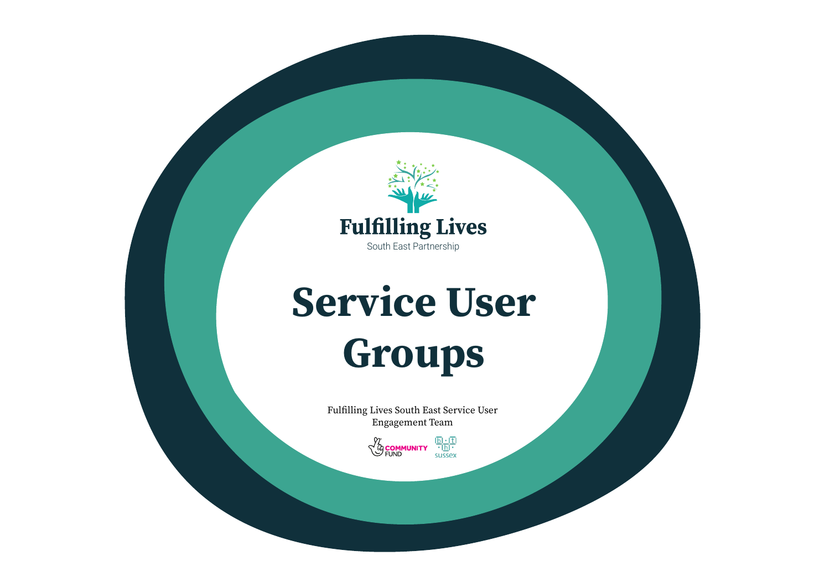

# Service User Groups

Fulfilling Lives South East Service User Engagement Team

> $\frac{\overline{\mathbf{b}} \cdot \overline{\mathbf{t}}}{\cdot \overline{\mathbf{h}} \cdot \overline{\mathbf{b}}}$ sussex **EOMMUNITY**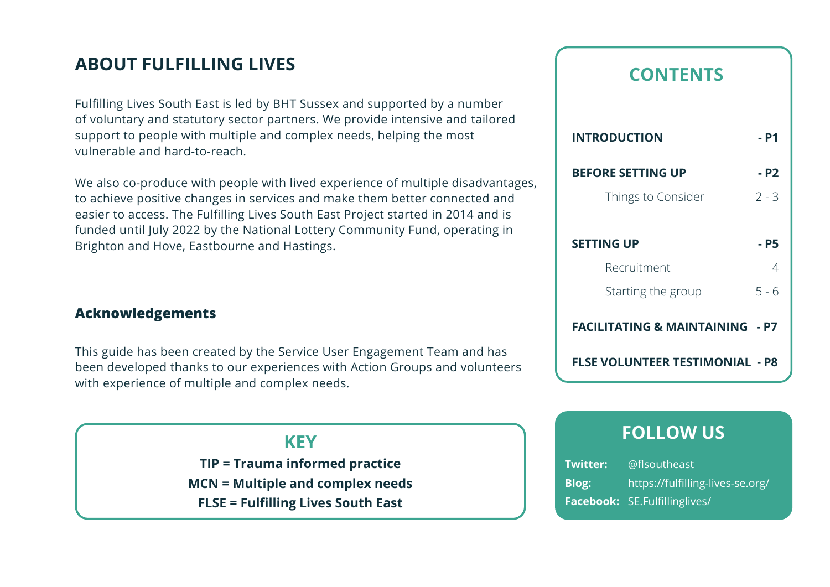# **ABOUT FULFILLING LIVES**

Fulfilling Lives South East is led by BHT Sussex and supported by a number of voluntary and statutory sector partners. We provide intensive and tailored support to people with multiple and complex needs, helping the most vulnerable and hard-to-reach.

We also co-produce with people with lived experience of multiple disadvantages, to achieve positive changes in services and make them better connected and easier to access. The Fulfilling Lives South East Project started in 2014 and is funded until July 2022 by the National Lottery Community Fund, operating in Brighton and Hove, Eastbourne and Hastings.

## **Acknowledgements**

This guide has been created by the Service User Engagement Team and has been developed thanks to our experiences with Action Groups and volunteers with experience of multiple and complex needs.

## **KEY**

**TIP = Trauma informed practice MCN = Multiple and complex needs FLSE = Fulfilling Lives South East**

# **CONTENTS**

| <b>INTRODUCTION</b>                        | - P1    |
|--------------------------------------------|---------|
| <b>BEFORE SETTING UP</b>                   | - P2    |
| Things to Consider                         | $7 - 3$ |
|                                            |         |
| <b>SETTING UP</b>                          | - P5    |
| Recruitment                                | 4       |
| Starting the group                         | 5 - 6   |
| <b>FACILITATING &amp; MAINTAINING - P7</b> |         |
| FLSE VOLUNTEER TESTIMONIAL  - P8           |         |

# **FOLLOW US**

| <b>Twitter:</b> | @flsoutheast                     |
|-----------------|----------------------------------|
| <b>Blog:</b>    | https://fulfilling-lives-se.org/ |
|                 | Facebook: SE. Fulfillinglives/   |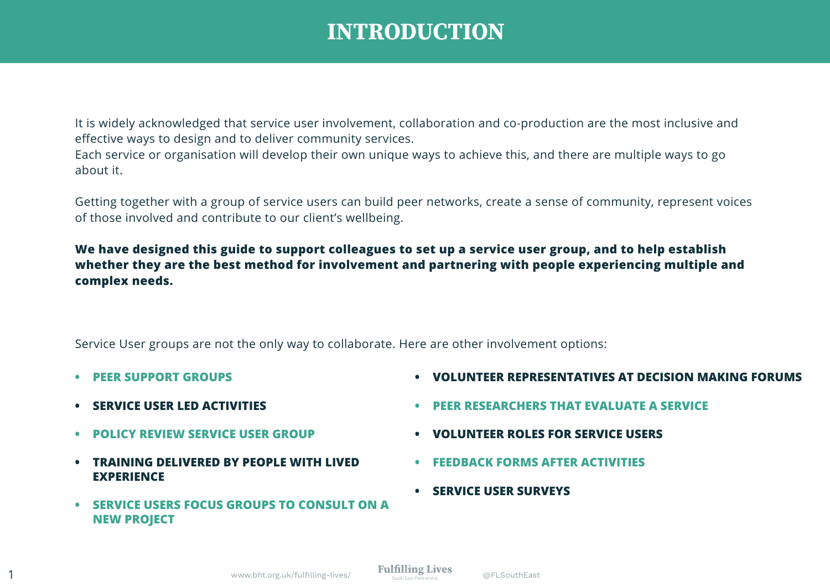# **INTRODUCTION**

It is widely acknowledged that service user involvement, collaboration and co-production are the most inclusive and effective ways to design and to deliver community services.

Each service or organisation will develop their own unique ways to achieve this, and there are multiple ways to go about it.

Getting together with a group of service users can build peer networks, create a sense of community, represent voices of those involved and contribute to our client's wellbeing.

**We have designed this guide to support colleagues to set up a service user group, and to help establish whether they are the best method for involvement and partnering with people experiencing multiple and complex needs.**

Service User groups are not the only way to collaborate. Here are other involvement options:

- **• PEER SUPPORT GROUPS**
- **• SERVICE USER LED ACTIVITIES**
- **• POLICY REVIEW SERVICE USER GROUP**
- **• TRAINING DELIVERED BY PEOPLE WITH LIVED EXPERIENCE**
- **• SERVICE USERS FOCUS GROUPS TO CONSULT ON A NEW PROJECT**
- **• VOLUNTEER REPRESENTATIVES AT DECISION MAKING FORUMS**
- **• PEER RESEARCHERS THAT EVALUATE A SERVICE**
- **• VOLUNTEER ROLES FOR SERVICE USERS**
- **• FEEDBACK FORMS AFTER ACTIVITIES**
- **• SERVICE USER SURVEYS**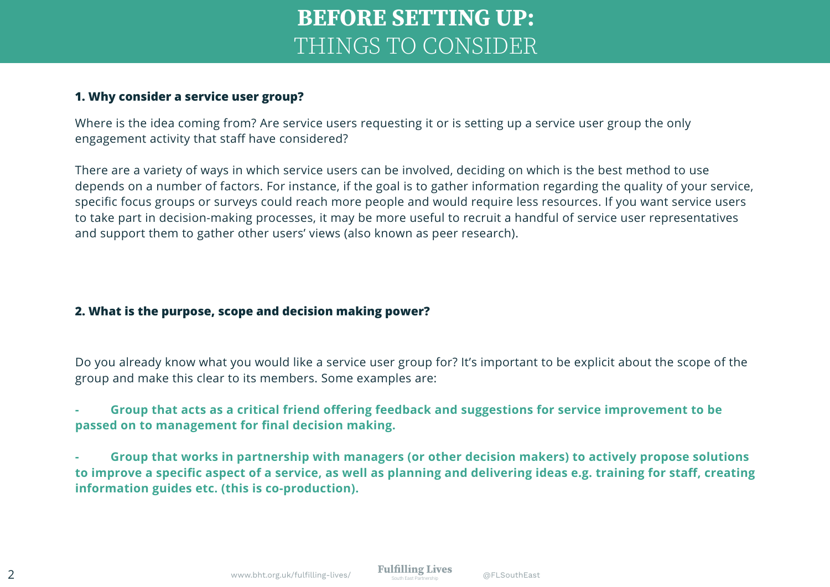# **BEFORE SETTING UP:**  THINGS TO CONSIDER

### **1. Why consider a service user group?**

Where is the idea coming from? Are service users requesting it or is setting up a service user group the only engagement activity that staff have considered?

There are a variety of ways in which service users can be involved, deciding on which is the best method to use depends on a number of factors. For instance, if the goal is to gather information regarding the quality of your service, specific focus groups or surveys could reach more people and would require less resources. If you want service users to take part in decision-making processes, it may be more useful to recruit a handful of service user representatives and support them to gather other users' views (also known as peer research).

### **2. What is the purpose, scope and decision making power?**

Do you already know what you would like a service user group for? It's important to be explicit about the scope of the group and make this clear to its members. Some examples are:

**- Group that acts as a critical friend offering feedback and suggestions for service improvement to be passed on to management for final decision making.**

**- Group that works in partnership with managers (or other decision makers) to actively propose solutions to improve a specific aspect of a service, as well as planning and delivering ideas e.g. training for staff, creating information guides etc. (this is co-production).**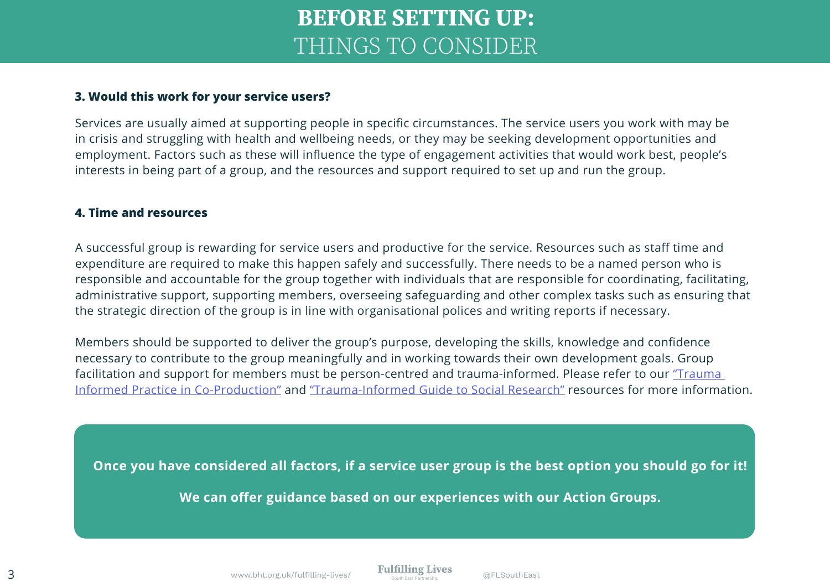# **BEFORE SETTING UP:**  THINGS TO CONSIDER

#### **3. Would this work for your service users?**

Services are usually aimed at supporting people in specific circumstances. The service users you work with may be in crisis and struggling with health and wellbeing needs, or they may be seeking development opportunities and employment. Factors such as these will influence the type of engagement activities that would work best, people's interests in being part of a group, and the resources and support required to set up and run the group.

#### **4. Time and resources**

A successful group is rewarding for service users and productive for the service. Resources such as staff time and expenditure are required to make this happen safely and successfully. There needs to be a named person who is responsible and accountable for the group together with individuals that are responsible for coordinating, facilitating, administrative support, supporting members, overseeing safeguarding and other complex tasks such as ensuring that the strategic direction of the group is in line with organisational polices and writing reports if necessary.

Members should be supported to deliver the group's purpose, developing the skills, knowledge and confidence necessary to contribute to the group meaningfully and in working towards their own development goals. Group facilitation and support for members must be person-centred and trauma-informed. Please refer to our "Trauma Informed Practice in Co-Production" and "Trauma-Informed Guide to Social Research" resources for more information.

**Once you have considered all factors, if a service user group is the best option you should go for it!**

**We can offer guidance based on our experiences with our Action Groups.**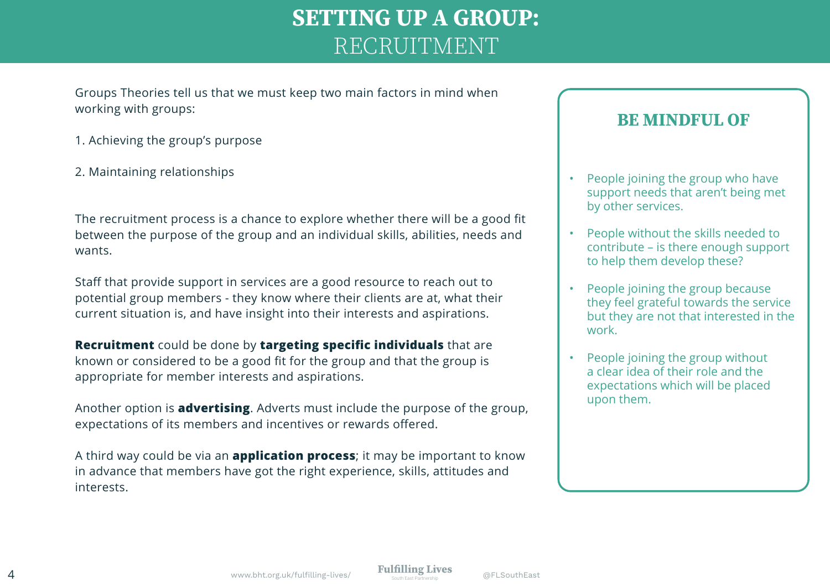# **SETTING UP A GROUP:**  RECRUITMENT

Groups Theories tell us that we must keep two main factors in mind when working with groups:

- 1. Achieving the group's purpose
- 2. Maintaining relationships

The recruitment process is a chance to explore whether there will be a good fit between the purpose of the group and an individual skills, abilities, needs and wants.

Staff that provide support in services are a good resource to reach out to potential group members - they know where their clients are at, what their current situation is, and have insight into their interests and aspirations.

**Recruitment** could be done by **targeting specific individuals** that are known or considered to be a good fit for the group and that the group is appropriate for member interests and aspirations.

Another option is **advertising**. Adverts must include the purpose of the group, expectations of its members and incentives or rewards offered.

A third way could be via an **application process**; it may be important to know in advance that members have got the right experience, skills, attitudes and interests.

# **BE MINDFUL OF**

- People joining the group who have support needs that aren't being met by other services.
- People without the skills needed to contribute – is there enough support to help them develop these?
- People joining the group because they feel grateful towards the service but they are not that interested in the work.
- People joining the group without a clear idea of their role and the expectations which will be placed upon them.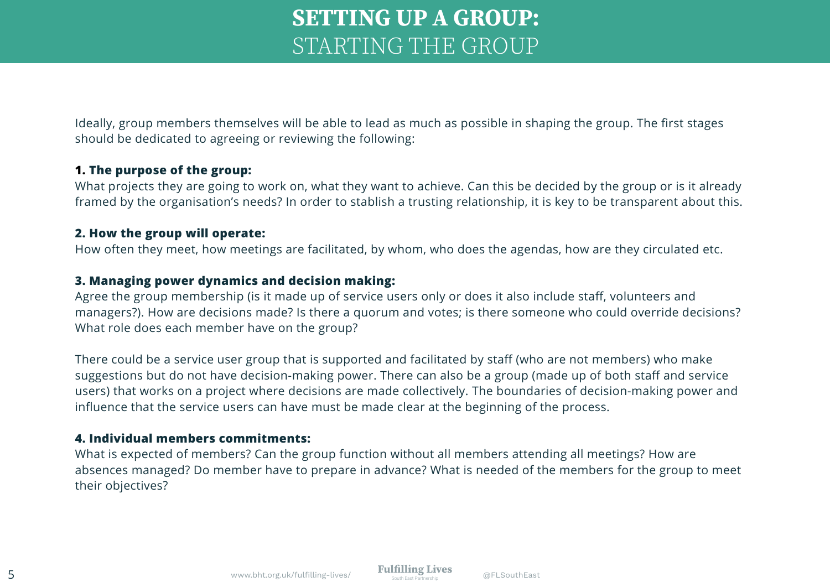# **SETTING UP A GROUP:**  STARTING THE GROUP

Ideally, group members themselves will be able to lead as much as possible in shaping the group. The first stages should be dedicated to agreeing or reviewing the following:

## **1. The purpose of the group:**

What projects they are going to work on, what they want to achieve. Can this be decided by the group or is it already framed by the organisation's needs? In order to stablish a trusting relationship, it is key to be transparent about this.

### **2. How the group will operate:**

How often they meet, how meetings are facilitated, by whom, who does the agendas, how are they circulated etc.

## **3. Managing power dynamics and decision making:**

Agree the group membership (is it made up of service users only or does it also include staff, volunteers and managers?). How are decisions made? Is there a quorum and votes; is there someone who could override decisions? What role does each member have on the group?

There could be a service user group that is supported and facilitated by staff (who are not members) who make suggestions but do not have decision-making power. There can also be a group (made up of both staff and service users) that works on a project where decisions are made collectively. The boundaries of decision-making power and influence that the service users can have must be made clear at the beginning of the process.

## **4. Individual members commitments:**

What is expected of members? Can the group function without all members attending all meetings? How are absences managed? Do member have to prepare in advance? What is needed of the members for the group to meet their objectives?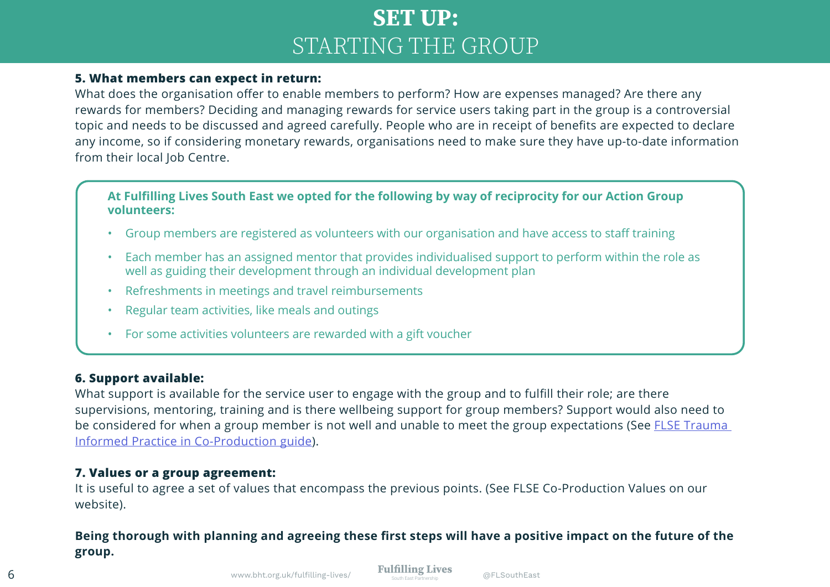# **SET UP:**  STARTING THE GROUP

## **5. What members can expect in return:**

What does the organisation offer to enable members to perform? How are expenses managed? Are there any rewards for members? Deciding and managing rewards for service users taking part in the group is a controversial topic and needs to be discussed and agreed carefully. People who are in receipt of benefits are expected to declare any income, so if considering monetary rewards, organisations need to make sure they have up-to-date information from their local Job Centre.

**At Fulfilling Lives South East we opted for the following by way of reciprocity for our Action Group volunteers:**

- Group members are registered as volunteers with our organisation and have access to staff training
- Each member has an assigned mentor that provides individualised support to perform within the role as well as guiding their development through an individual development plan
- Refreshments in meetings and travel reimbursements
- Regular team activities, like meals and outings
- For some activities volunteers are rewarded with a gift voucher

### **6. Support available:**

What support is available for the service user to engage with the group and to fulfill their role; are there supervisions, mentoring, training and is there wellbeing support for group members? Support would also need to be considered for when a group member is not well and unable to meet the group expectations (See FLSE Trauma Informed Practice in Co-Production guide).

## **7. Values or a group agreement:**

It is useful to agree a set of values that encompass the previous points. (See FLSE Co-Production Values on our website).

## **Being thorough with planning and agreeing these first steps will have a positive impact on the future of the group.**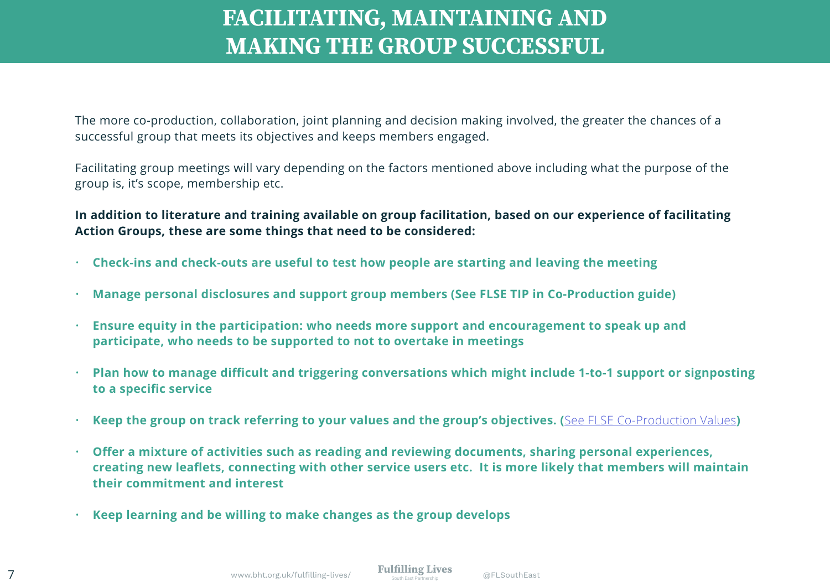# **FACILITATING, MAINTAINING AND MAKING THE GROUP SUCCESSFUL**

The more co-production, collaboration, joint planning and decision making involved, the greater the chances of a successful group that meets its objectives and keeps members engaged.

Facilitating group meetings will vary depending on the factors mentioned above including what the purpose of the group is, it's scope, membership etc.

**In addition to literature and training available on group facilitation, based on our experience of facilitating Action Groups, these are some things that need to be considered:**

- **Check-ins and check-outs are useful to test how people are starting and leaving the meeting**
- **Manage personal disclosures and support group members (See FLSE TIP in Co-Production guide)**
- **Ensure equity in the participation: who needs more support and encouragement to speak up and participate, who needs to be supported to not to overtake in meetings**
- **Plan how to manage difficult and triggering conversations which might include 1-to-1 support or signposting to a specific service**
- **Keep the group on track referring to your values and the group's objectives. (**See FLSE Co-Production Values**)**
- **Offer a mixture of activities such as reading and reviewing documents, sharing personal experiences, creating new leaflets, connecting with other service users etc. It is more likely that members will maintain their commitment and interest**
- **Keep learning and be willing to make changes as the group develops**